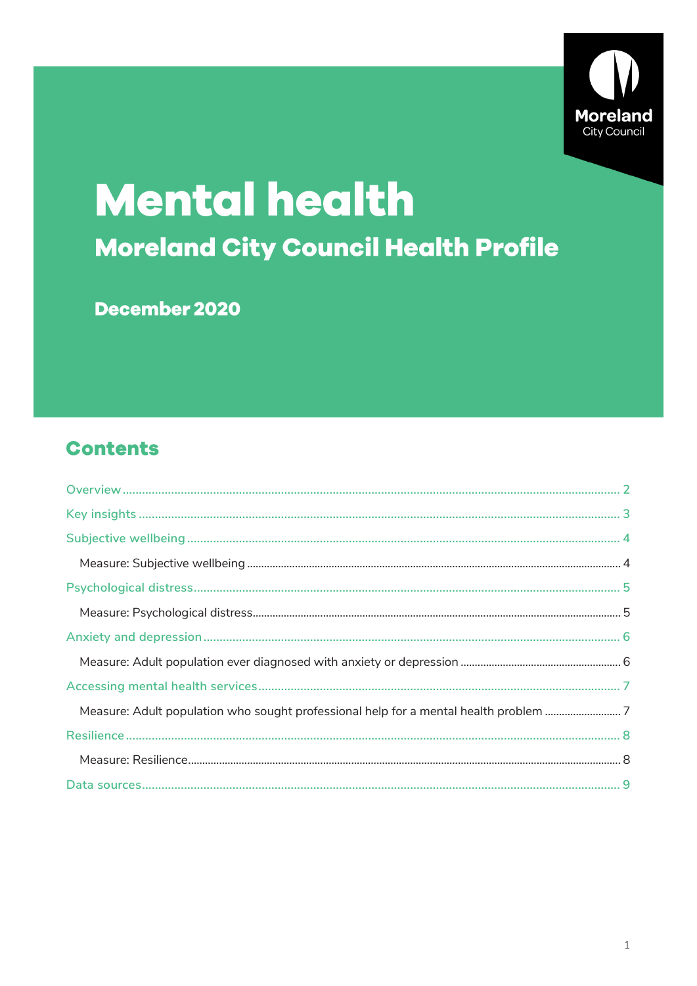

# **Mental health Moreland City Council Health Profile**

December 2020

### **Contents**

| Measure: Adult population who sought professional help for a mental health problem 7 |  |
|--------------------------------------------------------------------------------------|--|
|                                                                                      |  |
|                                                                                      |  |
|                                                                                      |  |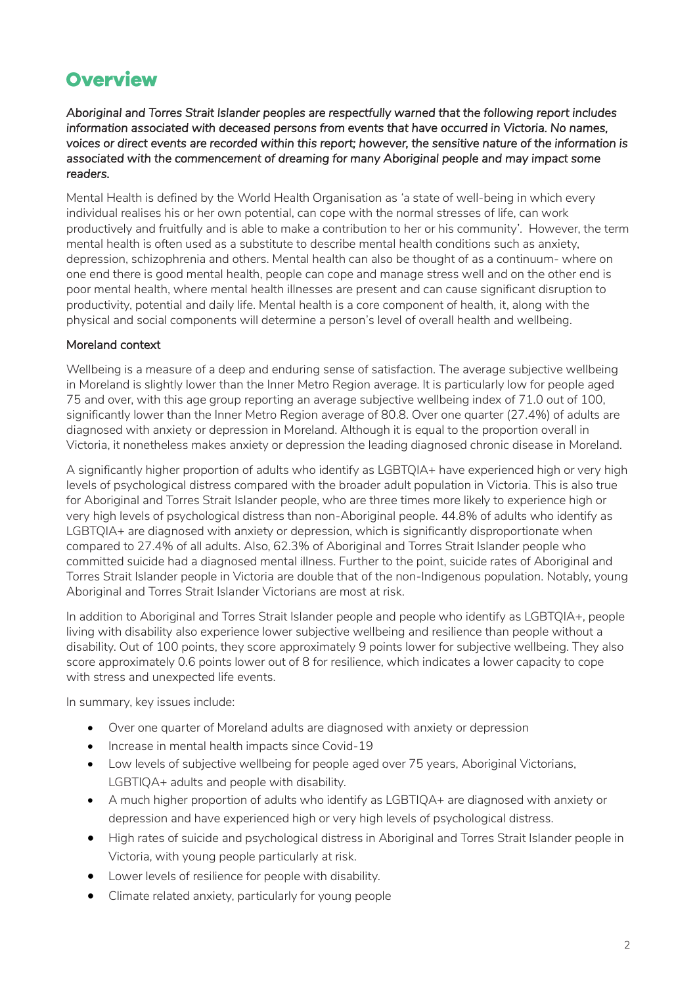### <span id="page-1-0"></span>**Overview**

*Aboriginal and Torres Strait Islander peoples are respectfully warned that the following report includes information associated with deceased persons from events that have occurred in Victoria. No names, voices or direct events are recorded within this report; however, the sensitive nature of the information is associated with the commencement of dreaming for many Aboriginal people and may impact some readers.* 

Mental Health is defined by the World Health Organisation as *'*a state of well-being in which every individual realises his or her own potential, can cope with the normal stresses of life, can work productively and fruitfully and is able to make a contribution to her or his community'*.* However, the term mental health is often used as a substitute to describe mental health conditions such as anxiety, depression, schizophrenia and others. Mental health can also be thought of as a continuum- where on one end there is good mental health, people can cope and manage stress well and on the other end is poor mental health, where mental health illnesses are present and can cause significant disruption to productivity, potential and daily life. Mental health is a core component of health, it, along with the physical and social components will determine a person's level of overall health and wellbeing.

#### Moreland context

Wellbeing is a measure of a deep and enduring sense of satisfaction. The average subjective wellbeing in Moreland is slightly lower than the Inner Metro Region average. It is particularly low for people aged 75 and over, with this age group reporting an average subjective wellbeing index of 71.0 out of 100, significantly lower than the Inner Metro Region average of 80.8. Over one quarter (27.4%) of adults are diagnosed with anxiety or depression in Moreland. Although it is equal to the proportion overall in Victoria, it nonetheless makes anxiety or depression the leading diagnosed chronic disease in Moreland.

A significantly higher proportion of adults who identify as LGBTQIA+ have experienced high or very high levels of psychological distress compared with the broader adult population in Victoria. This is also true for Aboriginal and Torres Strait Islander people, who are three times more likely to experience high or very high levels of psychological distress than non-Aboriginal people. 44.8% of adults who identify as LGBTQIA+ are diagnosed with anxiety or depression, which is significantly disproportionate when compared to 27.4% of all adults. Also, 62.3% of Aboriginal and Torres Strait Islander people who committed suicide had a diagnosed mental illness. Further to the point, suicide rates of Aboriginal and Torres Strait Islander people in Victoria are double that of the non-Indigenous population. Notably, young Aboriginal and Torres Strait Islander Victorians are most at risk.

In addition to Aboriginal and Torres Strait Islander people and people who identify as LGBTQIA+, people living with disability also experience lower subjective wellbeing and resilience than people without a disability. Out of 100 points, they score approximately 9 points lower for subjective wellbeing. They also score approximately 0.6 points lower out of 8 for resilience, which indicates a lower capacity to cope with stress and unexpected life events.

In summary, key issues include:

- Over one quarter of Moreland adults are diagnosed with anxiety or depression
- Increase in mental health impacts since Covid-19
- Low levels of subjective wellbeing for people aged over 75 years, Aboriginal Victorians, LGBTIQA+ adults and people with disability.
- A much higher proportion of adults who identify as LGBTIQA+ are diagnosed with anxiety or depression and have experienced high or very high levels of psychological distress.
- High rates of suicide and psychological distress in Aboriginal and Torres Strait Islander people in Victoria, with young people particularly at risk.
- Lower levels of resilience for people with disability.
- Climate related anxiety, particularly for young people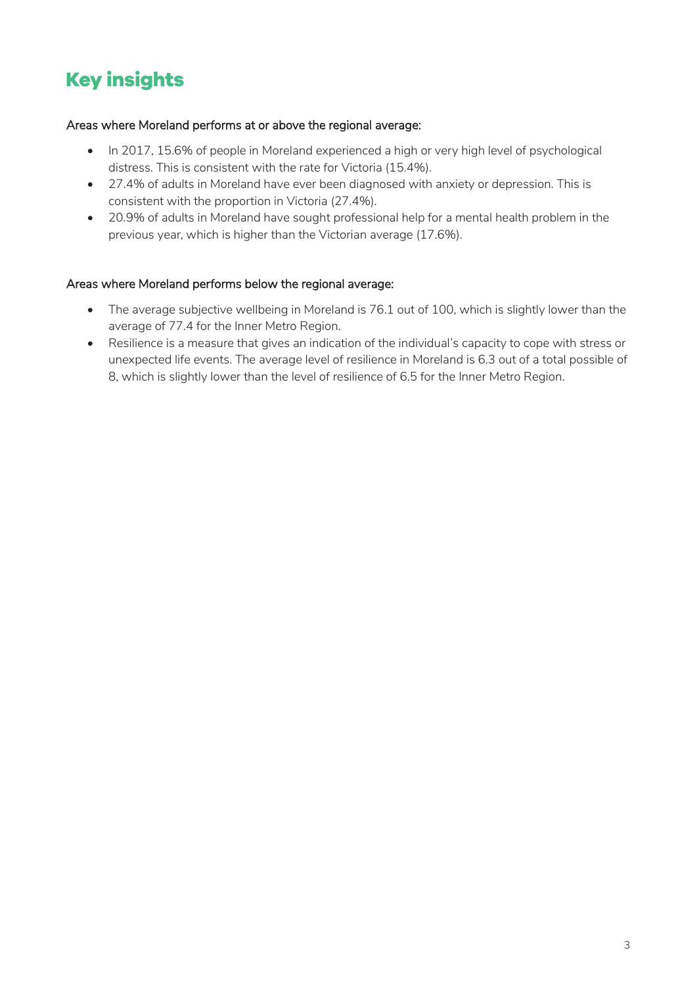# <span id="page-2-0"></span>**Key insights**

#### Areas where Moreland performs at or above the regional average:

- In 2017, 15.6% of people in Moreland experienced a high or very high level of psychological distress. This is consistent with the rate for Victoria (15.4%).
- 27.4% of adults in Moreland have ever been diagnosed with anxiety or depression. This is consistent with the proportion in Victoria (27.4%).
- 20.9% of adults in Moreland have sought professional help for a mental health problem in the previous year, which is higher than the Victorian average (17.6%).

#### Areas where Moreland performs below the regional average:

- The average subjective wellbeing in Moreland is 76.1 out of 100, which is slightly lower than the average of 77.4 for the Inner Metro Region.
- Resilience is a measure that gives an indication of the individual's capacity to cope with stress or unexpected life events. The average level of resilience in Moreland is 6.3 out of a total possible of 8, which is slightly lower than the level of resilience of 6.5 for the Inner Metro Region.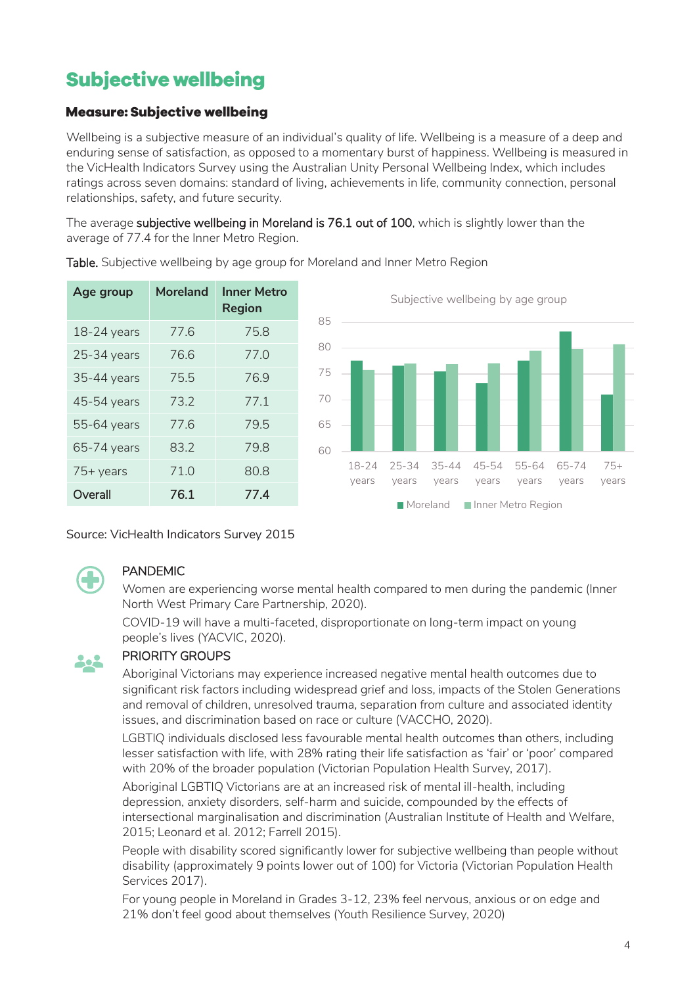### <span id="page-3-0"></span>**Subjective wellbeing**

#### <span id="page-3-1"></span>**Measure: Subjective wellbeing**

Wellbeing is a subjective measure of an individual's quality of life. Wellbeing is a measure of a deep and enduring sense of satisfaction, as opposed to a momentary burst of happiness. Wellbeing is measured in the VicHealth Indicators Survey using the Australian Unity Personal Wellbeing Index, which includes ratings across seven domains: standard of living, achievements in life, community connection, personal relationships, safety, and future security.

The average subjective wellbeing in Moreland is 76.1 out of 100, which is slightly lower than the average of 77.4 for the Inner Metro Region.

| Age group     | <b>Moreland</b> | <b>Inner Metro</b><br><b>Region</b> |
|---------------|-----------------|-------------------------------------|
| $18-24$ years | 77.6            | 75.8                                |
| $25-34$ years | 76.6            | 77.0                                |
| 35-44 years   | 75.5            | 76.9                                |
| 45-54 years   | 73.2            | 77.1                                |
| 55-64 years   | 77.6            | 79.5                                |
| 65-74 years   | 83.2            | 79.8                                |
| 75+ years     | 71.0            | 80.8                                |
| Overall       | 76.1            | 77.4                                |

Table. Subjective wellbeing by age group for Moreland and Inner Metro Region



Source: VicHealth Indicators Survey 2015



#### PANDEMIC

Women are experiencing worse mental health compared to men during the pandemic (Inner North West Primary Care Partnership, 2020).

COVID-19 will have a multi-faceted, disproportionate on long-term impact on young people's lives (YACVIC, 2020).



#### PRIORITY GROUPS

Aboriginal Victorians may experience increased negative mental health outcomes due to significant risk factors including widespread grief and loss, impacts of the Stolen Generations and removal of children, unresolved trauma, separation from culture and associated identity issues, and discrimination based on race or culture (VACCHO, 2020).

LGBTIQ individuals disclosed less favourable mental health outcomes than others, including lesser satisfaction with life, with 28% rating their life satisfaction as 'fair' or 'poor' compared with 20% of the broader population (Victorian Population Health Survey, 2017).

Aboriginal LGBTIQ Victorians are at an increased risk of mental ill-health, including depression, anxiety disorders, self-harm and suicide, compounded by the effects of intersectional marginalisation and discrimination (Australian Institute of Health and Welfare, 2015; Leonard et al. 2012; Farrell 2015).

People with disability scored significantly lower for subjective wellbeing than people without disability (approximately 9 points lower out of 100) for Victoria (Victorian Population Health Services 2017).

For young people in Moreland in Grades 3-12, 23% feel nervous, anxious or on edge and 21% don't feel good about themselves (Youth Resilience Survey, 2020)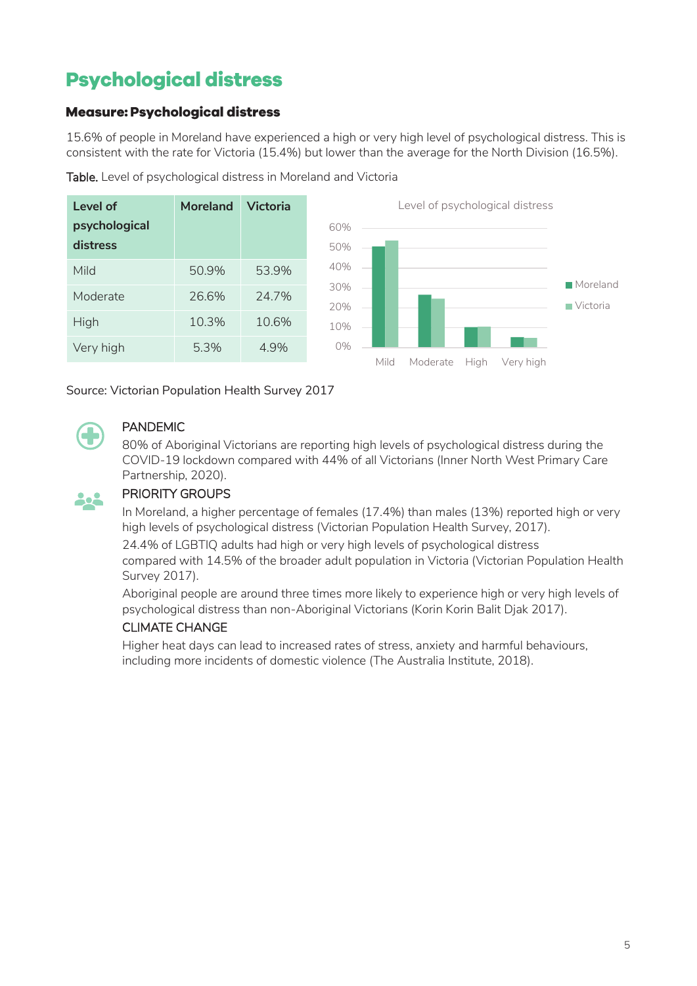# <span id="page-4-0"></span>**Psychological distress**

#### <span id="page-4-1"></span>**Measure: Psychological distress**

15.6% of people in Moreland have experienced a high or very high level of psychological distress. This is consistent with the rate for Victoria (15.4%) but lower than the average for the North Division (16.5%).

| <b>Level of</b> | <b>Moreland</b> | <b>Victoria</b> |            |      |          |      | Level of psychological distress |                                     |
|-----------------|-----------------|-----------------|------------|------|----------|------|---------------------------------|-------------------------------------|
| psychological   |                 |                 | 60%        |      |          |      |                                 |                                     |
| distress        |                 |                 | 50%        |      |          |      |                                 |                                     |
| Mild            | 50.9%           | 53.9%           | 40%        |      |          |      |                                 |                                     |
| Moderate        | 26.6%           | 24.7%           | 30%<br>20% |      |          |      |                                 | Moreland<br>$\blacksquare$ Victoria |
| High            | 10.3%           | 10.6%           | 10%        |      |          |      |                                 |                                     |
| Very high       | 5.3%            | 4.9%            | 0%         |      |          |      |                                 |                                     |
|                 |                 |                 |            | Mild | Moderate | High | Very high                       |                                     |

Table. Level of psychological distress in Moreland and Victoria

Source: Victorian Population Health Survey 2017



#### PANDEMIC

80% of Aboriginal Victorians are reporting high levels of psychological distress during the COVID-19 lockdown compared with 44% of all Victorians (Inner North West Primary Care Partnership, 2020).

#### PRIORITY GROUPS

In Moreland, a higher percentage of females (17.4%) than males (13%) reported high or very high levels of psychological distress (Victorian Population Health Survey, 2017).

24.4% of LGBTIQ adults had high or very high levels of psychological distress compared with 14.5% of the broader adult population in Victoria (Victorian Population Health Survey 2017).

Aboriginal people are around three times more likely to experience high or very high levels of psychological distress than non-Aboriginal Victorians (Korin Korin Balit Djak 2017).

#### CLIMATE CHANGE

Higher heat days can lead to increased rates of stress, anxiety and harmful behaviours, including more incidents of domestic violence (The Australia Institute, 2018).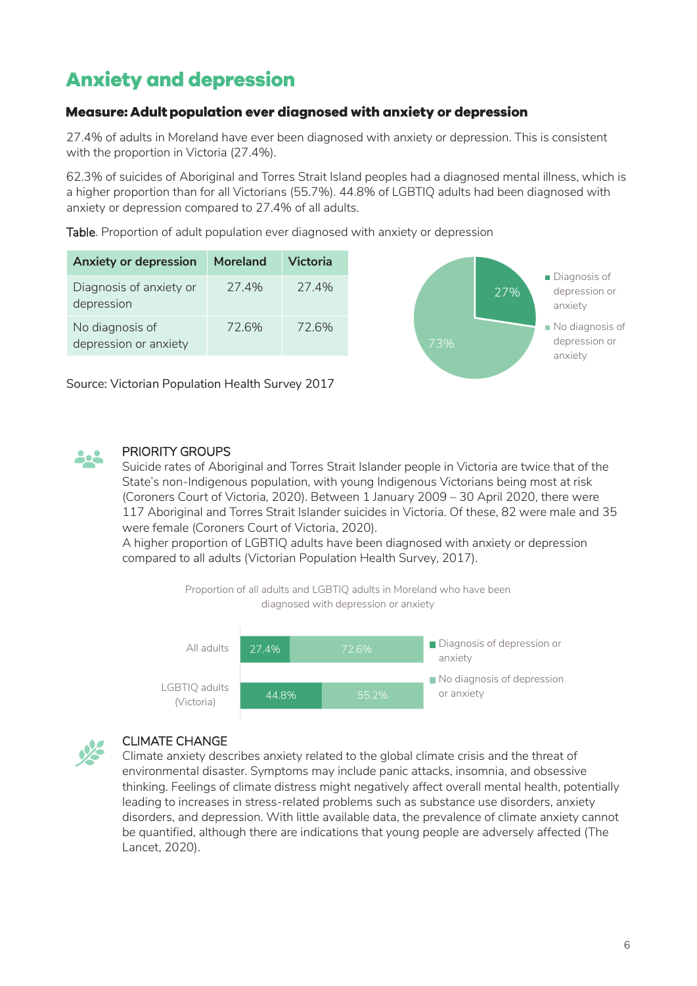# <span id="page-5-0"></span>**Anxiety and depression**

#### <span id="page-5-1"></span>Measure: Adult population ever diagnosed with anxiety or depression

27.4% of adults in Moreland have ever been diagnosed with anxiety or depression. This is consistent with the proportion in Victoria (27.4%).

62.3% of suicides of Aboriginal and Torres Strait Island peoples had a diagnosed mental illness, which is a higher proportion than for all Victorians (55.7%). 44.8% of LGBTIQ adults had been diagnosed with anxiety or depression compared to 27.4% of all adults.

Table. Proportion of adult population ever diagnosed with anxiety or depression



Source: Victorian Population Health Survey 2017



#### PRIORITY GROUPS

Suicide rates of Aboriginal and Torres Strait Islander people in Victoria are twice that of the State's non-Indigenous population, with young Indigenous Victorians being most at risk (Coroners Court of Victoria, 2020). Between 1 January 2009 – 30 April 2020, there were 117 Aboriginal and Torres Strait Islander suicides in Victoria. Of these, 82 were male and 35 were female (Coroners Court of Victoria, 2020).

A higher proportion of LGBTIQ adults have been diagnosed with anxiety or depression compared to all adults (Victorian Population Health Survey, 2017).





#### CLIMATE CHANGE

Climate anxiety describes anxiety related to the global climate crisis and the threat of environmental disaster. Symptoms may include panic attacks, insomnia, and obsessive thinking. Feelings of climate distress might negatively affect overall mental health, potentially leading to increases in stress-related problems such as substance use disorders, anxiety disorders, and depression. With little available data, the prevalence of climate anxiety cannot be quantified, although there are indications that young people are adversely affected (The Lancet, 2020).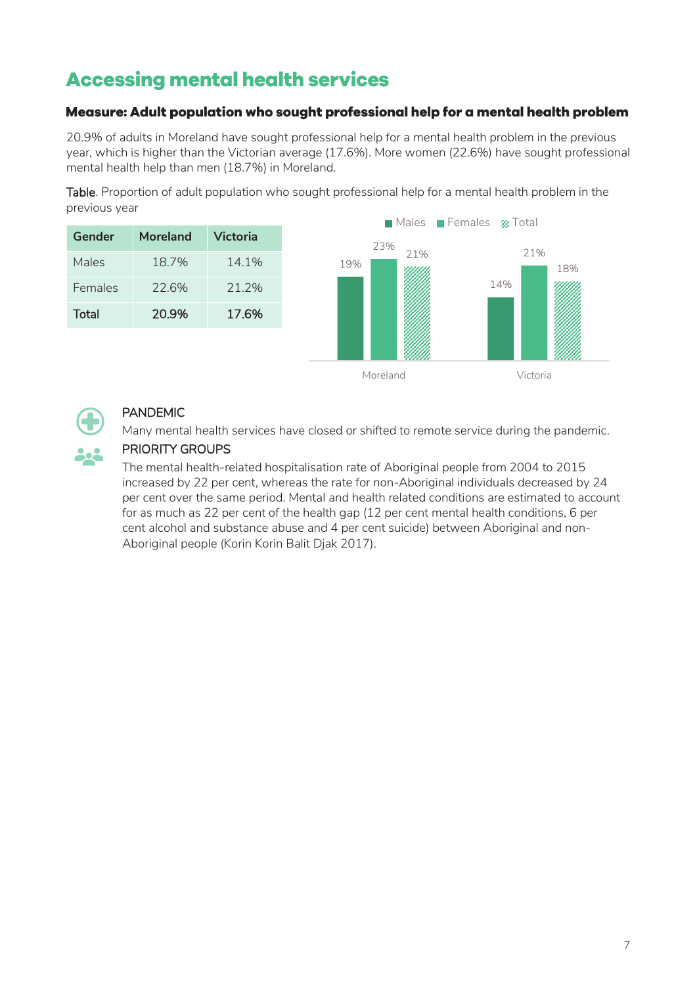### <span id="page-6-0"></span>**Accessing mental health services**

#### <span id="page-6-1"></span>Measure: Adult population who sought professional help for a mental health problem

20.9% of adults in Moreland have sought professional help for a mental health problem in the previous year, which is higher than the Victorian average (17.6%). More women (22.6%) have sought professional mental health help than men (18.7%) in Moreland.

Table. Proportion of adult population who sought professional help for a mental health problem in the previous year

| Gender  | Moreland | Victoria |
|---------|----------|----------|
| Males   | 18.7%    | 14 1 \/  |
| Females | 22 6%    | 21 2%    |
| Total   | 20.9%    | 17.6%    |





#### PANDEMIC

Many mental health services have closed or shifted to remote service during the pandemic.



#### PRIORITY GROUPS

The mental health-related hospitalisation rate of Aboriginal people from 2004 to 2015 increased by 22 per cent, whereas the rate for non-Aboriginal individuals decreased by 24 per cent over the same period. Mental and health related conditions are estimated to account for as much as 22 per cent of the health gap (12 per cent mental health conditions, 6 per cent alcohol and substance abuse and 4 per cent suicide) between Aboriginal and non-Aboriginal people (Korin Korin Balit Djak 2017).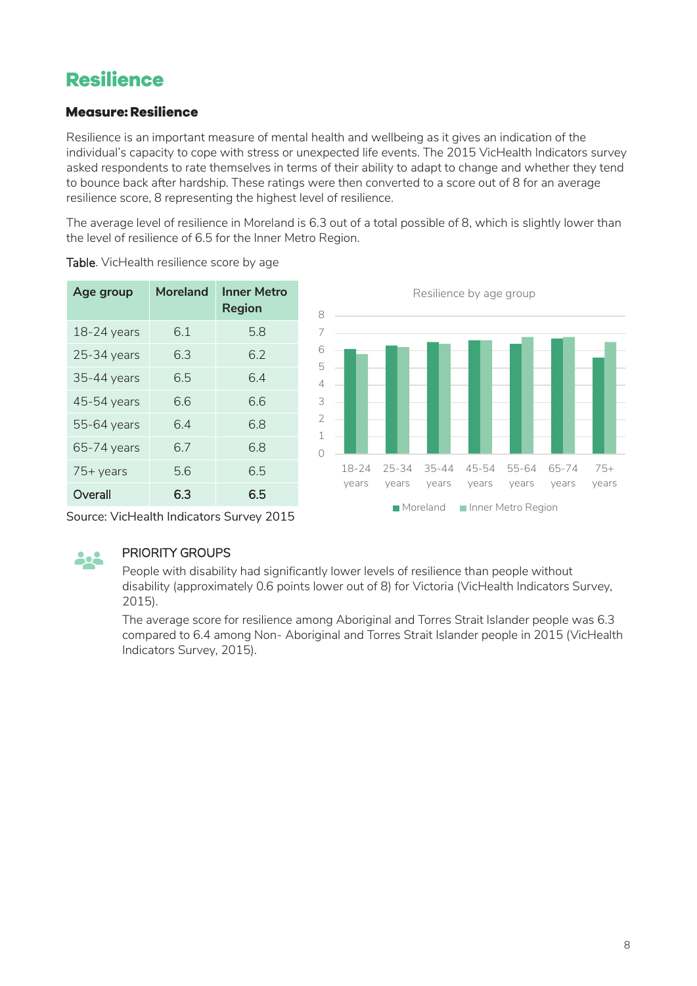### <span id="page-7-0"></span>**Resilience**

#### <span id="page-7-1"></span>**Measure: Resilience**

Resilience is an important measure of mental health and wellbeing as it gives an indication of the individual's capacity to cope with stress or unexpected life events. The 2015 VicHealth Indicators survey asked respondents to rate themselves in terms of their ability to adapt to change and whether they tend to bounce back after hardship. These ratings were then converted to a score out of 8 for an average resilience score, 8 representing the highest level of resilience.

The average level of resilience in Moreland is 6.3 out of a total possible of 8, which is slightly lower than the level of resilience of 6.5 for the Inner Metro Region.

|     | <b>Region</b> |
|-----|---------------|
| 6.1 | 5.8           |
| 6.3 | 6.2           |
| 6.5 | 6 4           |
| 6.6 | 6.6           |
| 6.4 | 6.8           |
| 6.7 | 6.8           |
| 5.6 | 6.5           |
| 6.3 | 6.5           |
|     |               |





Source: VicHealth Indicators Survey 2015



#### PRIORITY GROUPS

People with disability had significantly lower levels of resilience than people without disability (approximately 0.6 points lower out of 8) for Victoria (VicHealth Indicators Survey, 2015).

The average score for resilience among Aboriginal and Torres Strait Islander people was 6.3 compared to 6.4 among Non- Aboriginal and Torres Strait Islander people in 2015 (VicHealth Indicators Survey, 2015).